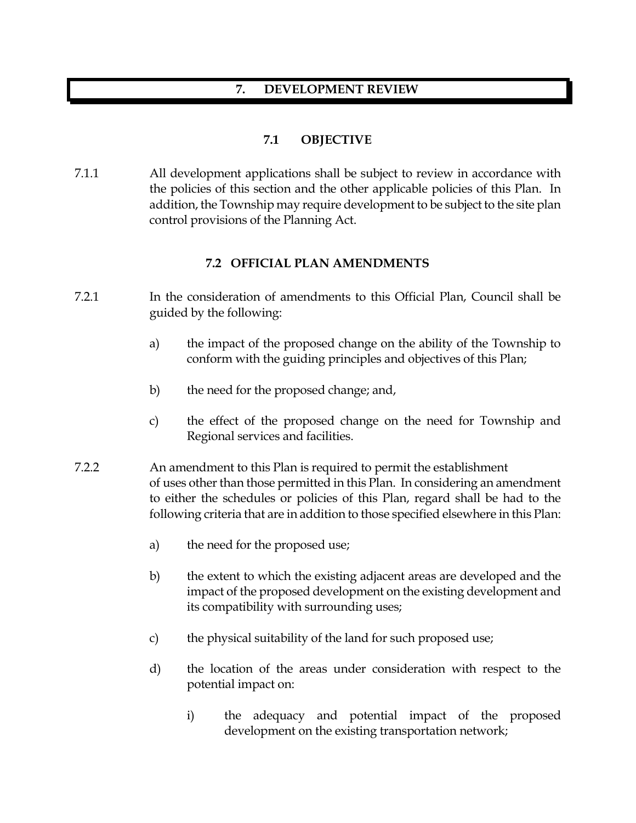## **7. DEVELOPMENT REVIEW**

# **7.1 OBJECTIVE**

7.1.1 All development applications shall be subject to review in accordance with the policies of this section and the other applicable policies of this Plan. In addition, the Township may require development to be subject to the site plan control provisions of the Planning Act.

## **7.2 OFFICIAL PLAN AMENDMENTS**

- 7.2.1 In the consideration of amendments to this Official Plan, Council shall be guided by the following:
	- a) the impact of the proposed change on the ability of the Township to conform with the guiding principles and objectives of this Plan;
	- b) the need for the proposed change; and,
	- c) the effect of the proposed change on the need for Township and Regional services and facilities.
- 7.2.2 An amendment to this Plan is required to permit the establishment of uses other than those permitted in this Plan. In considering an amendment to either the schedules or policies of this Plan, regard shall be had to the following criteria that are in addition to those specified elsewhere in this Plan:
	- a) the need for the proposed use;
	- b) the extent to which the existing adjacent areas are developed and the impact of the proposed development on the existing development and its compatibility with surrounding uses;
	- c) the physical suitability of the land for such proposed use;
	- d) the location of the areas under consideration with respect to the potential impact on:
		- i) the adequacy and potential impact of the proposed development on the existing transportation network;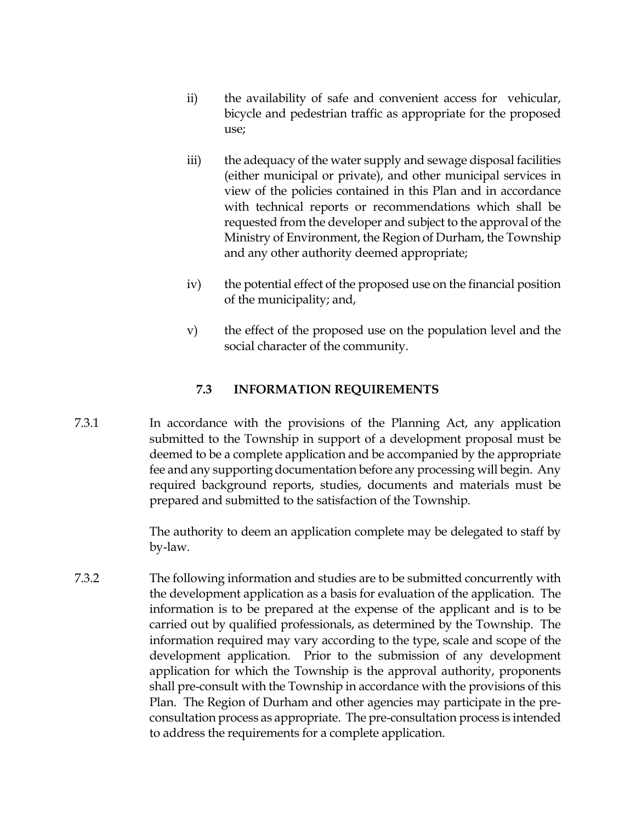- ii) the availability of safe and convenient access for vehicular, bicycle and pedestrian traffic as appropriate for the proposed use;
- iii) the adequacy of the water supply and sewage disposal facilities (either municipal or private), and other municipal services in view of the policies contained in this Plan and in accordance with technical reports or recommendations which shall be requested from the developer and subject to the approval of the Ministry of Environment, the Region of Durham, the Township and any other authority deemed appropriate;
- iv) the potential effect of the proposed use on the financial position of the municipality; and,
- v) the effect of the proposed use on the population level and the social character of the community.

## **7.3 INFORMATION REQUIREMENTS**

7.3.1 In accordance with the provisions of the Planning Act, any application submitted to the Township in support of a development proposal must be deemed to be a complete application and be accompanied by the appropriate fee and any supporting documentation before any processing will begin. Any required background reports, studies, documents and materials must be prepared and submitted to the satisfaction of the Township.

> The authority to deem an application complete may be delegated to staff by by-law.

7.3.2 The following information and studies are to be submitted concurrently with the development application as a basis for evaluation of the application. The information is to be prepared at the expense of the applicant and is to be carried out by qualified professionals, as determined by the Township. The information required may vary according to the type, scale and scope of the development application. Prior to the submission of any development application for which the Township is the approval authority, proponents shall pre-consult with the Township in accordance with the provisions of this Plan. The Region of Durham and other agencies may participate in the preconsultation process as appropriate. The pre-consultation process is intended to address the requirements for a complete application.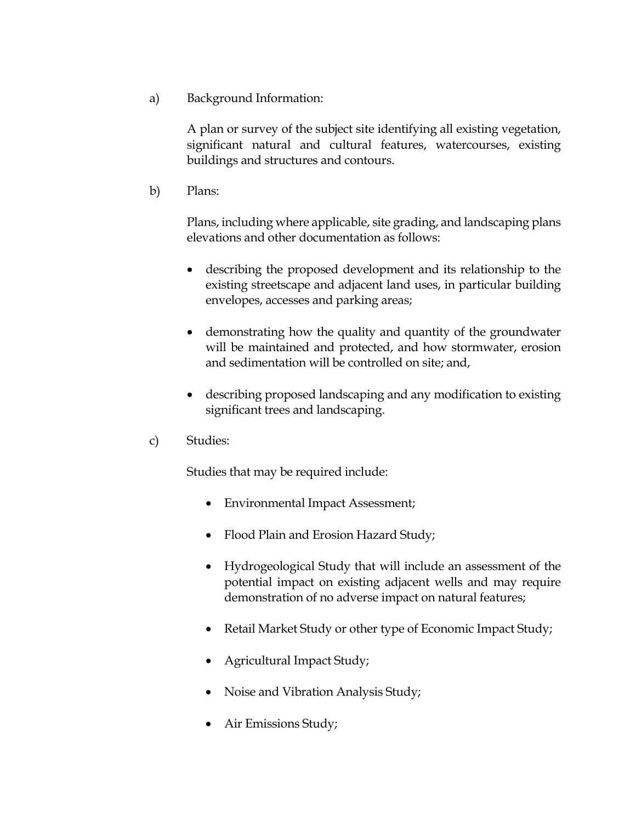a) Background Information:

A plan or survey of the subject site identifying all existing vegetation, significant natural and cultural features, watercourses, existing buildings and structures and contours.

b) Plans:

Plans, including where applicable, site grading, and landscaping plans elevations and other documentation as follows:

- describing the proposed development and its relationship to the existing streetscape and adjacent land uses, in particular building envelopes, accesses and parking areas;
- demonstrating how the quality and quantity of the groundwater will be maintained and protected, and how stormwater, erosion and sedimentation will be controlled on site; and,
- describing proposed landscaping and any modification to existing significant trees and landscaping.
- c) Studies:

Studies that may be required include:

- Environmental Impact Assessment;
- Flood Plain and Erosion Hazard Study;
- Hydrogeological Study that will include an assessment of the potential impact on existing adjacent wells and may require demonstration of no adverse impact on natural features;
- Retail Market Study or other type of Economic Impact Study;
- Agricultural Impact Study;
- Noise and Vibration Analysis Study;
- Air Emissions Study;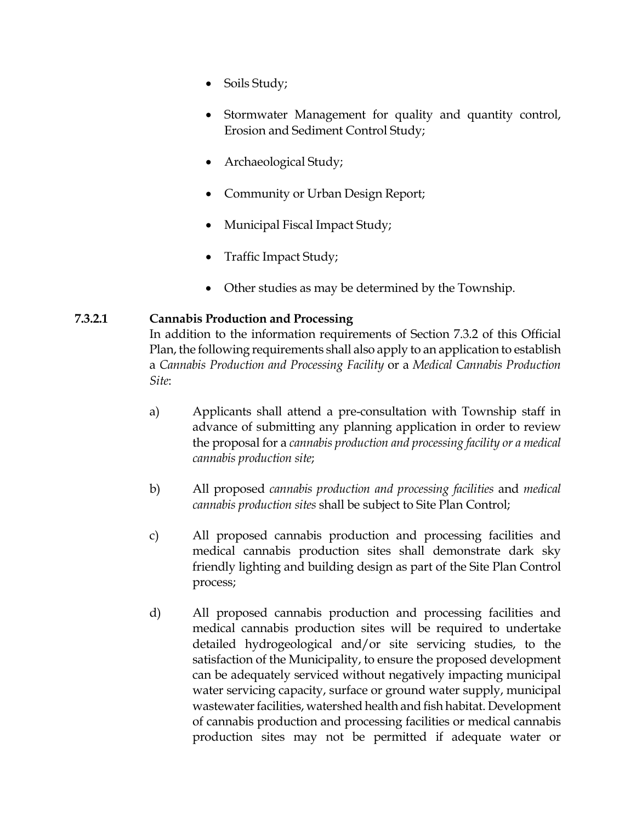- Soils Study;
- Stormwater Management for quality and quantity control, Erosion and Sediment Control Study;
- Archaeological Study;
- Community or Urban Design Report;
- Municipal Fiscal Impact Study;
- Traffic Impact Study;
- Other studies as may be determined by the Township.

## **7.3.2.1 Cannabis Production and Processing**

In addition to the information requirements of Section 7.3.2 of this Official Plan, the following requirements shall also apply to an application to establish a *Cannabis Production and Processing Facility* or a *Medical Cannabis Production Site*:

- a) Applicants shall attend a pre-consultation with Township staff in advance of submitting any planning application in order to review the proposal for a *cannabis production and processing facility or a medical cannabis production site*;
- b) All proposed *cannabis production and processing facilities* and *medical cannabis production sites* shall be subject to Site Plan Control;
- c) All proposed cannabis production and processing facilities and medical cannabis production sites shall demonstrate dark sky friendly lighting and building design as part of the Site Plan Control process;
- d) All proposed cannabis production and processing facilities and medical cannabis production sites will be required to undertake detailed hydrogeological and/or site servicing studies, to the satisfaction of the Municipality, to ensure the proposed development can be adequately serviced without negatively impacting municipal water servicing capacity, surface or ground water supply, municipal wastewater facilities, watershed health and fish habitat. Development of cannabis production and processing facilities or medical cannabis production sites may not be permitted if adequate water or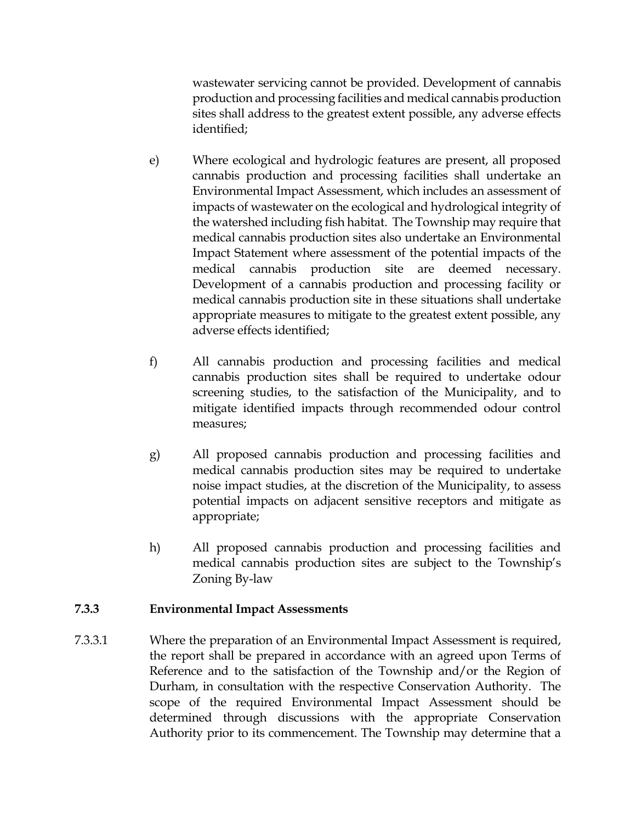wastewater servicing cannot be provided. Development of cannabis production and processing facilities and medical cannabis production sites shall address to the greatest extent possible, any adverse effects identified;

- e) Where ecological and hydrologic features are present, all proposed cannabis production and processing facilities shall undertake an Environmental Impact Assessment, which includes an assessment of impacts of wastewater on the ecological and hydrological integrity of the watershed including fish habitat. The Township may require that medical cannabis production sites also undertake an Environmental Impact Statement where assessment of the potential impacts of the medical cannabis production site are deemed necessary. Development of a cannabis production and processing facility or medical cannabis production site in these situations shall undertake appropriate measures to mitigate to the greatest extent possible, any adverse effects identified;
- f) All cannabis production and processing facilities and medical cannabis production sites shall be required to undertake odour screening studies, to the satisfaction of the Municipality, and to mitigate identified impacts through recommended odour control measures;
- g) All proposed cannabis production and processing facilities and medical cannabis production sites may be required to undertake noise impact studies, at the discretion of the Municipality, to assess potential impacts on adjacent sensitive receptors and mitigate as appropriate;
- h) All proposed cannabis production and processing facilities and medical cannabis production sites are subject to the Township's Zoning By-law

# **7.3.3 Environmental Impact Assessments**

7.3.3.1 Where the preparation of an Environmental Impact Assessment is required, the report shall be prepared in accordance with an agreed upon Terms of Reference and to the satisfaction of the Township and/or the Region of Durham, in consultation with the respective Conservation Authority. The scope of the required Environmental Impact Assessment should be determined through discussions with the appropriate Conservation Authority prior to its commencement. The Township may determine that a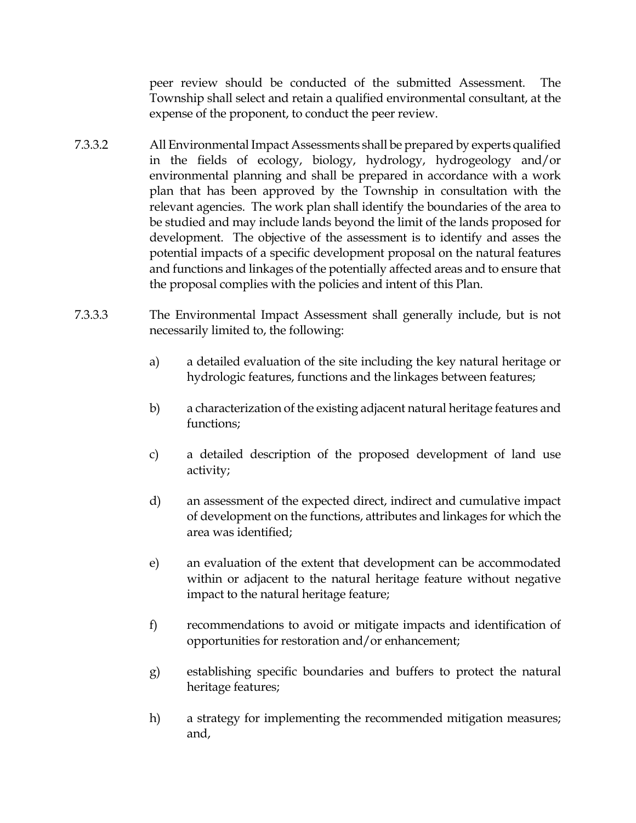peer review should be conducted of the submitted Assessment. The Township shall select and retain a qualified environmental consultant, at the expense of the proponent, to conduct the peer review.

- 7.3.3.2 All Environmental Impact Assessments shall be prepared by experts qualified in the fields of ecology, biology, hydrology, hydrogeology and/or environmental planning and shall be prepared in accordance with a work plan that has been approved by the Township in consultation with the relevant agencies. The work plan shall identify the boundaries of the area to be studied and may include lands beyond the limit of the lands proposed for development. The objective of the assessment is to identify and asses the potential impacts of a specific development proposal on the natural features and functions and linkages of the potentially affected areas and to ensure that the proposal complies with the policies and intent of this Plan.
- 7.3.3.3 The Environmental Impact Assessment shall generally include, but is not necessarily limited to, the following:
	- a) a detailed evaluation of the site including the key natural heritage or hydrologic features, functions and the linkages between features;
	- b) a characterization of the existing adjacent natural heritage features and functions;
	- c) a detailed description of the proposed development of land use activity;
	- d) an assessment of the expected direct, indirect and cumulative impact of development on the functions, attributes and linkages for which the area was identified;
	- e) an evaluation of the extent that development can be accommodated within or adjacent to the natural heritage feature without negative impact to the natural heritage feature;
	- f) recommendations to avoid or mitigate impacts and identification of opportunities for restoration and/or enhancement;
	- g) establishing specific boundaries and buffers to protect the natural heritage features;
	- h) a strategy for implementing the recommended mitigation measures; and,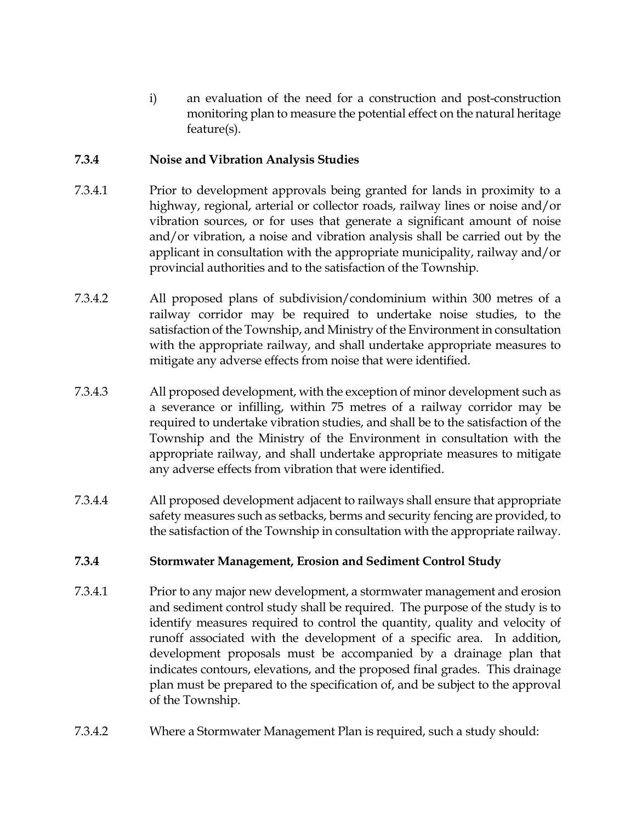i) an evaluation of the need for a construction and post-construction monitoring plan to measure the potential effect on the natural heritage feature(s).

# **7.3.4 Noise and Vibration Analysis Studies**

- 7.3.4.1 Prior to development approvals being granted for lands in proximity to a highway, regional, arterial or collector roads, railway lines or noise and/or vibration sources, or for uses that generate a significant amount of noise and/or vibration, a noise and vibration analysis shall be carried out by the applicant in consultation with the appropriate municipality, railway and/or provincial authorities and to the satisfaction of the Township.
- 7.3.4.2 All proposed plans of subdivision/condominium within 300 metres of a railway corridor may be required to undertake noise studies, to the satisfaction of the Township, and Ministry of the Environment in consultation with the appropriate railway, and shall undertake appropriate measures to mitigate any adverse effects from noise that were identified.
- 7.3.4.3 All proposed development, with the exception of minor development such as a severance or infilling, within 75 metres of a railway corridor may be required to undertake vibration studies, and shall be to the satisfaction of the Township and the Ministry of the Environment in consultation with the appropriate railway, and shall undertake appropriate measures to mitigate any adverse effects from vibration that were identified.
- 7.3.4.4 All proposed development adjacent to railways shall ensure that appropriate safety measures such as setbacks, berms and security fencing are provided, to the satisfaction of the Township in consultation with the appropriate railway.

# **7.3.4 Stormwater Management, Erosion and Sediment Control Study**

- 7.3.4.1 Prior to any major new development, a stormwater management and erosion and sediment control study shall be required. The purpose of the study is to identify measures required to control the quantity, quality and velocity of runoff associated with the development of a specific area. In addition, development proposals must be accompanied by a drainage plan that indicates contours, elevations, and the proposed final grades. This drainage plan must be prepared to the specification of, and be subject to the approval of the Township.
- 7.3.4.2 Where a Stormwater Management Plan is required, such a study should: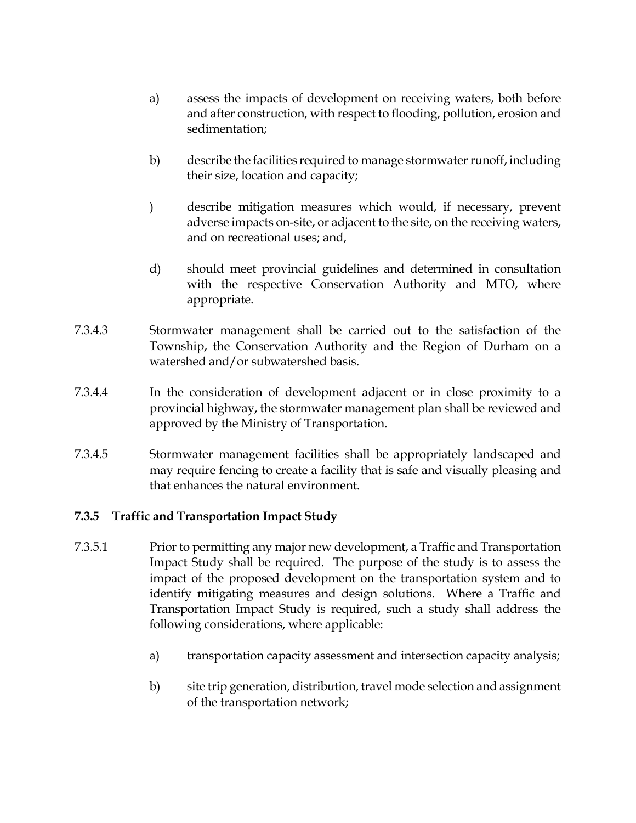- a) assess the impacts of development on receiving waters, both before and after construction, with respect to flooding, pollution, erosion and sedimentation;
- b) describe the facilities required to manage stormwater runoff, including their size, location and capacity;
- ) describe mitigation measures which would, if necessary, prevent adverse impacts on-site, or adjacent to the site, on the receiving waters, and on recreational uses; and,
- d) should meet provincial guidelines and determined in consultation with the respective Conservation Authority and MTO, where appropriate.
- 7.3.4.3 Stormwater management shall be carried out to the satisfaction of the Township, the Conservation Authority and the Region of Durham on a watershed and/or subwatershed basis.
- 7.3.4.4 In the consideration of development adjacent or in close proximity to a provincial highway, the stormwater management plan shall be reviewed and approved by the Ministry of Transportation.
- 7.3.4.5 Stormwater management facilities shall be appropriately landscaped and may require fencing to create a facility that is safe and visually pleasing and that enhances the natural environment.

## **7.3.5 Traffic and Transportation Impact Study**

- 7.3.5.1 Prior to permitting any major new development, a Traffic and Transportation Impact Study shall be required. The purpose of the study is to assess the impact of the proposed development on the transportation system and to identify mitigating measures and design solutions. Where a Traffic and Transportation Impact Study is required, such a study shall address the following considerations, where applicable:
	- a) transportation capacity assessment and intersection capacity analysis;
	- b) site trip generation, distribution, travel mode selection and assignment of the transportation network;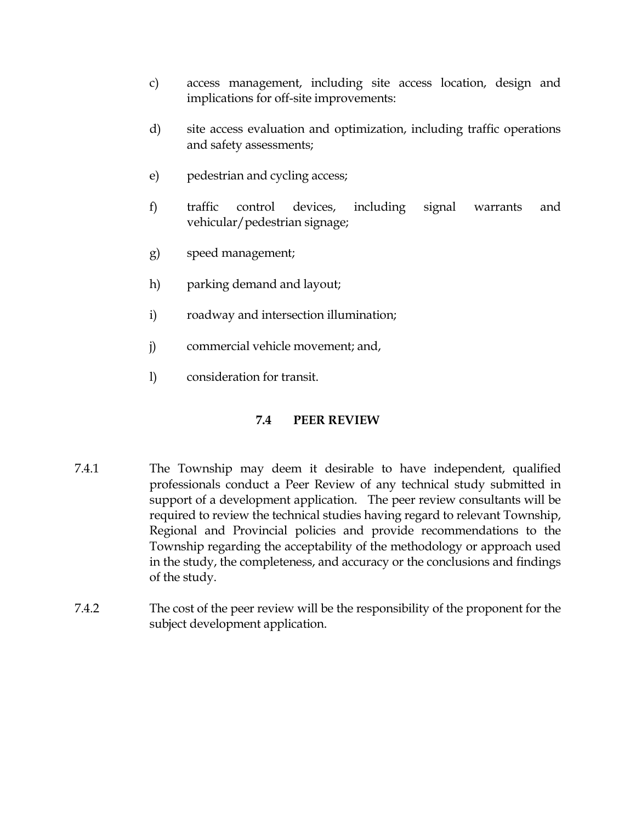- c) access management, including site access location, design and implications for off-site improvements:
- d) site access evaluation and optimization, including traffic operations and safety assessments;
- e) pedestrian and cycling access;
- f) traffic control devices, including signal warrants and vehicular/pedestrian signage;
- g) speed management;
- h) parking demand and layout;
- i) roadway and intersection illumination;
- j) commercial vehicle movement; and,
- l) consideration for transit.

# **7.4 PEER REVIEW**

- 7.4.1 The Township may deem it desirable to have independent, qualified professionals conduct a Peer Review of any technical study submitted in support of a development application. The peer review consultants will be required to review the technical studies having regard to relevant Township, Regional and Provincial policies and provide recommendations to the Township regarding the acceptability of the methodology or approach used in the study, the completeness, and accuracy or the conclusions and findings of the study.
- 7.4.2 The cost of the peer review will be the responsibility of the proponent for the subject development application.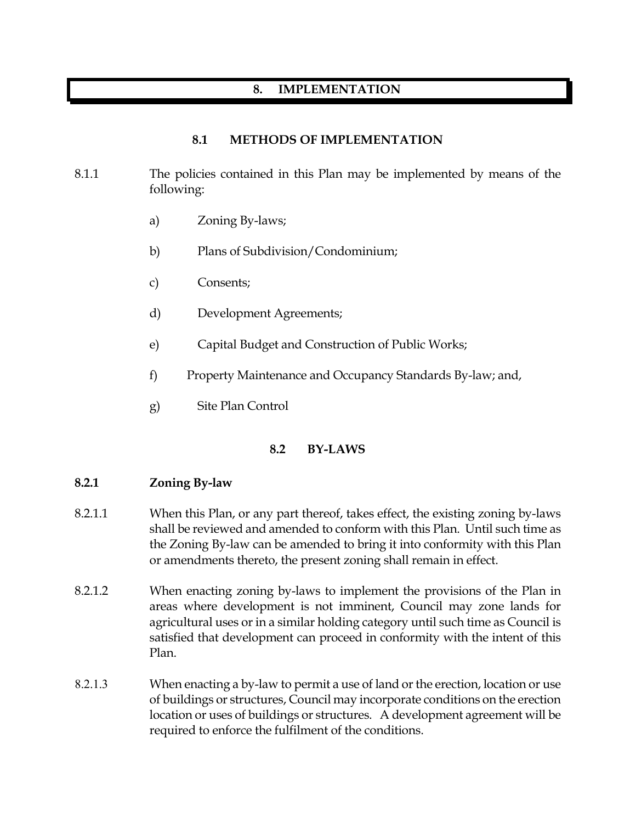# **8. IMPLEMENTATION**

### **8.1 METHODS OF IMPLEMENTATION**

## 8.1.1 The policies contained in this Plan may be implemented by means of the following:

- a) Zoning By-laws;
- b) Plans of Subdivision/Condominium;
- c) Consents;
- d) Development Agreements;
- e) Capital Budget and Construction of Public Works;
- f) Property Maintenance and Occupancy Standards By-law; and,
- g) Site Plan Control

#### **8.2 BY-LAWS**

#### **8.2.1 Zoning By-law**

- 8.2.1.1 When this Plan, or any part thereof, takes effect, the existing zoning by-laws shall be reviewed and amended to conform with this Plan. Until such time as the Zoning By-law can be amended to bring it into conformity with this Plan or amendments thereto, the present zoning shall remain in effect.
- 8.2.1.2 When enacting zoning by-laws to implement the provisions of the Plan in areas where development is not imminent, Council may zone lands for agricultural uses or in a similar holding category until such time as Council is satisfied that development can proceed in conformity with the intent of this Plan.
- 8.2.1.3 When enacting a by-law to permit a use of land or the erection, location or use of buildings or structures, Council may incorporate conditions on the erection location or uses of buildings or structures. A development agreement will be required to enforce the fulfilment of the conditions.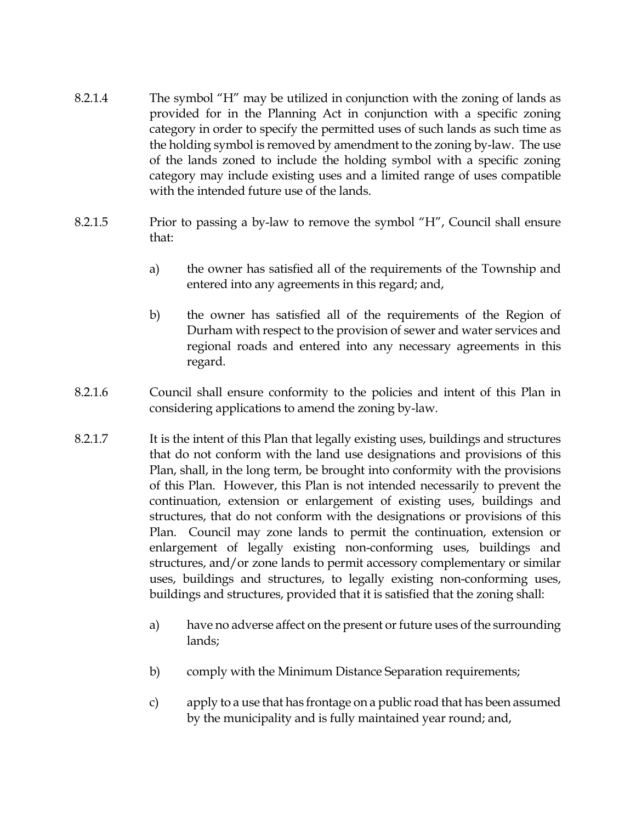- 8.2.1.4 The symbol "H" may be utilized in conjunction with the zoning of lands as provided for in the Planning Act in conjunction with a specific zoning category in order to specify the permitted uses of such lands as such time as the holding symbol is removed by amendment to the zoning by-law. The use of the lands zoned to include the holding symbol with a specific zoning category may include existing uses and a limited range of uses compatible with the intended future use of the lands.
- 8.2.1.5 Prior to passing a by-law to remove the symbol "H", Council shall ensure that:
	- a) the owner has satisfied all of the requirements of the Township and entered into any agreements in this regard; and,
	- b) the owner has satisfied all of the requirements of the Region of Durham with respect to the provision of sewer and water services and regional roads and entered into any necessary agreements in this regard.
- 8.2.1.6 Council shall ensure conformity to the policies and intent of this Plan in considering applications to amend the zoning by-law.
- 8.2.1.7 It is the intent of this Plan that legally existing uses, buildings and structures that do not conform with the land use designations and provisions of this Plan, shall, in the long term, be brought into conformity with the provisions of this Plan. However, this Plan is not intended necessarily to prevent the continuation, extension or enlargement of existing uses, buildings and structures, that do not conform with the designations or provisions of this Plan. Council may zone lands to permit the continuation, extension or enlargement of legally existing non-conforming uses, buildings and structures, and/or zone lands to permit accessory complementary or similar uses, buildings and structures, to legally existing non-conforming uses, buildings and structures, provided that it is satisfied that the zoning shall:
	- a) have no adverse affect on the present or future uses of the surrounding lands;
	- b) comply with the Minimum Distance Separation requirements;
	- c) apply to a use that has frontage on a public road that has been assumed by the municipality and is fully maintained year round; and,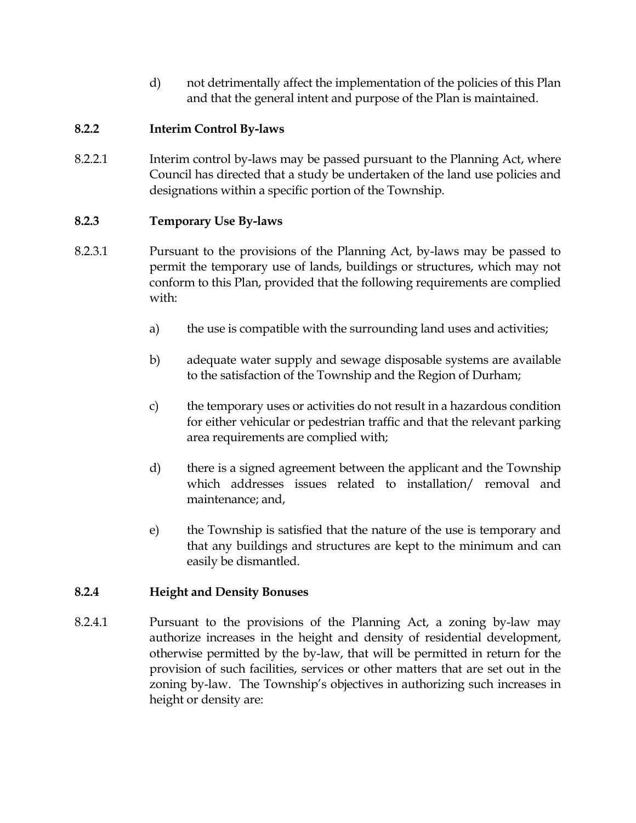d) not detrimentally affect the implementation of the policies of this Plan and that the general intent and purpose of the Plan is maintained.

# **8.2.2 Interim Control By-laws**

8.2.2.1 Interim control by-laws may be passed pursuant to the Planning Act, where Council has directed that a study be undertaken of the land use policies and designations within a specific portion of the Township.

## **8.2.3 Temporary Use By-laws**

- 8.2.3.1 Pursuant to the provisions of the Planning Act, by-laws may be passed to permit the temporary use of lands, buildings or structures, which may not conform to this Plan, provided that the following requirements are complied with:
	- a) the use is compatible with the surrounding land uses and activities;
	- b) adequate water supply and sewage disposable systems are available to the satisfaction of the Township and the Region of Durham;
	- c) the temporary uses or activities do not result in a hazardous condition for either vehicular or pedestrian traffic and that the relevant parking area requirements are complied with;
	- d) there is a signed agreement between the applicant and the Township which addresses issues related to installation/ removal and maintenance; and,
	- e) the Township is satisfied that the nature of the use is temporary and that any buildings and structures are kept to the minimum and can easily be dismantled.

## **8.2.4 Height and Density Bonuses**

8.2.4.1 Pursuant to the provisions of the Planning Act, a zoning by-law may authorize increases in the height and density of residential development, otherwise permitted by the by-law, that will be permitted in return for the provision of such facilities, services or other matters that are set out in the zoning by-law. The Township's objectives in authorizing such increases in height or density are: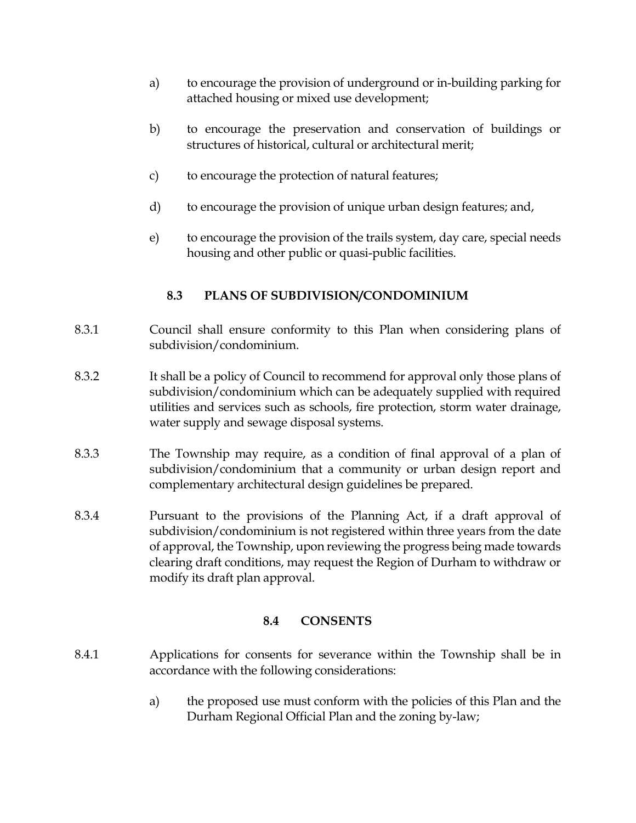- a) to encourage the provision of underground or in-building parking for attached housing or mixed use development;
- b) to encourage the preservation and conservation of buildings or structures of historical, cultural or architectural merit;
- c) to encourage the protection of natural features;
- d) to encourage the provision of unique urban design features; and,
- e) to encourage the provision of the trails system, day care, special needs housing and other public or quasi-public facilities.

## **8.3 PLANS OF SUBDIVISION/CONDOMINIUM**

- 8.3.1 Council shall ensure conformity to this Plan when considering plans of subdivision/condominium.
- 8.3.2 It shall be a policy of Council to recommend for approval only those plans of subdivision/condominium which can be adequately supplied with required utilities and services such as schools, fire protection, storm water drainage, water supply and sewage disposal systems.
- 8.3.3 The Township may require, as a condition of final approval of a plan of subdivision/condominium that a community or urban design report and complementary architectural design guidelines be prepared.
- 8.3.4 Pursuant to the provisions of the Planning Act, if a draft approval of subdivision/condominium is not registered within three years from the date of approval, the Township, upon reviewing the progress being made towards clearing draft conditions, may request the Region of Durham to withdraw or modify its draft plan approval.

## **8.4 CONSENTS**

- 8.4.1 Applications for consents for severance within the Township shall be in accordance with the following considerations:
	- a) the proposed use must conform with the policies of this Plan and the Durham Regional Official Plan and the zoning by-law;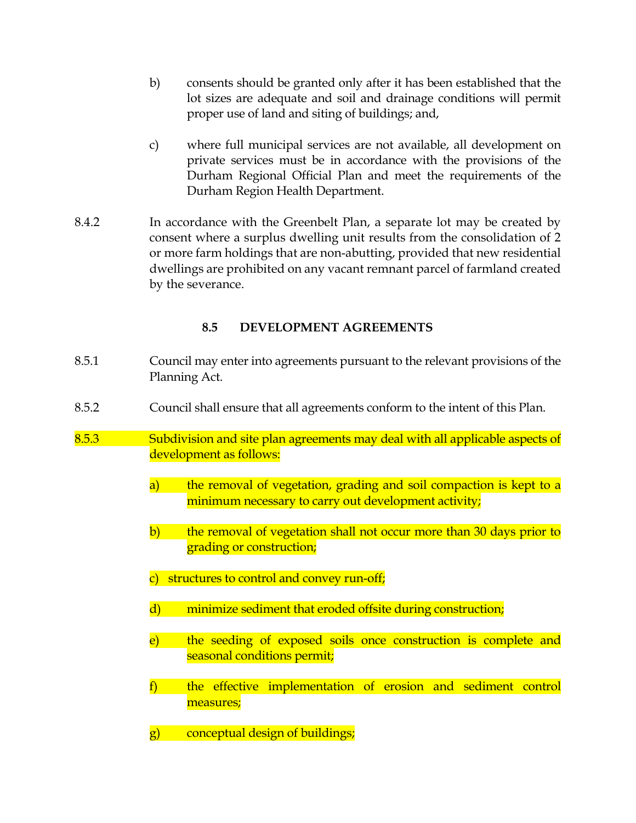- b) consents should be granted only after it has been established that the lot sizes are adequate and soil and drainage conditions will permit proper use of land and siting of buildings; and,
- c) where full municipal services are not available, all development on private services must be in accordance with the provisions of the Durham Regional Official Plan and meet the requirements of the Durham Region Health Department.
- 8.4.2 In accordance with the Greenbelt Plan, a separate lot may be created by consent where a surplus dwelling unit results from the consolidation of 2 or more farm holdings that are non-abutting, provided that new residential dwellings are prohibited on any vacant remnant parcel of farmland created by the severance.

## **8.5 DEVELOPMENT AGREEMENTS**

- 8.5.1 Council may enter into agreements pursuant to the relevant provisions of the Planning Act.
- 8.5.2 Council shall ensure that all agreements conform to the intent of this Plan.
- 8.5.3 Subdivision and site plan agreements may deal with all applicable aspects of development as follows:
	- a) the removal of vegetation, grading and soil compaction is kept to a minimum necessary to carry out development activity;
	- b) the removal of vegetation shall not occur more than 30 days prior to grading or construction;
	- c) structures to control and convey run-off;
	- d) minimize sediment that eroded offsite during construction;
	- e) the seeding of exposed soils once construction is complete and seasonal conditions permit;
	- f) the effective implementation of erosion and sediment control measures;
	- g) conceptual design of buildings;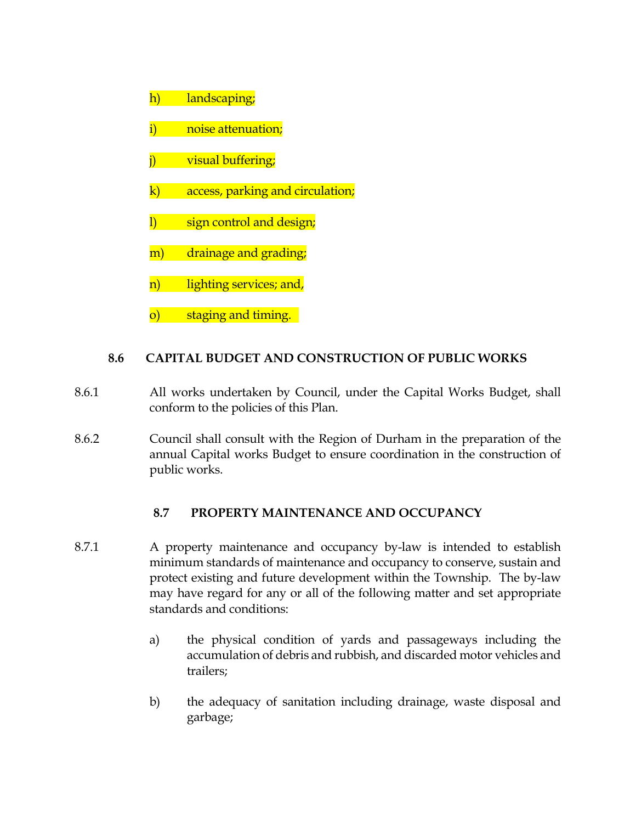- h) landscaping;
- i) noise attenuation;
- j) visual buffering;
- k) access, parking and circulation;
- l) sign control and design;
- m) drainage and grading;
- n) lighting services; and,
- o) staging and timing.

## **8.6 CAPITAL BUDGET AND CONSTRUCTION OF PUBLIC WORKS**

- 8.6.1 All works undertaken by Council, under the Capital Works Budget, shall conform to the policies of this Plan.
- 8.6.2 Council shall consult with the Region of Durham in the preparation of the annual Capital works Budget to ensure coordination in the construction of public works.

## **8.7 PROPERTY MAINTENANCE AND OCCUPANCY**

- 8.7.1 A property maintenance and occupancy by-law is intended to establish minimum standards of maintenance and occupancy to conserve, sustain and protect existing and future development within the Township. The by-law may have regard for any or all of the following matter and set appropriate standards and conditions:
	- a) the physical condition of yards and passageways including the accumulation of debris and rubbish, and discarded motor vehicles and trailers;
	- b) the adequacy of sanitation including drainage, waste disposal and garbage;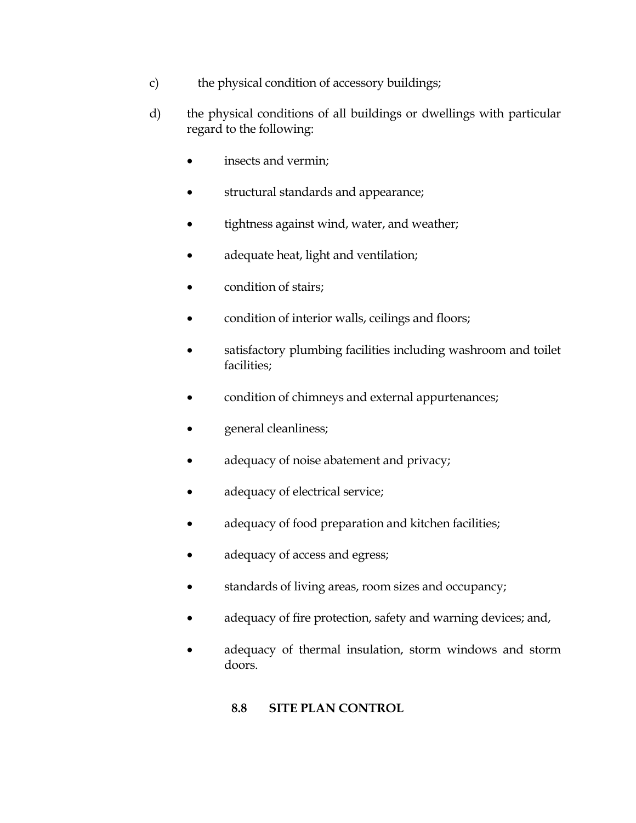- c) the physical condition of accessory buildings;
- d) the physical conditions of all buildings or dwellings with particular regard to the following:
	- insects and vermin;
	- structural standards and appearance;
	- tightness against wind, water, and weather;
	- adequate heat, light and ventilation;
	- condition of stairs;
	- condition of interior walls, ceilings and floors;
	- satisfactory plumbing facilities including washroom and toilet facilities;
	- condition of chimneys and external appurtenances;
	- general cleanliness;
	- adequacy of noise abatement and privacy;
	- adequacy of electrical service;
	- adequacy of food preparation and kitchen facilities;
	- adequacy of access and egress;
	- standards of living areas, room sizes and occupancy;
	- adequacy of fire protection, safety and warning devices; and,
	- adequacy of thermal insulation, storm windows and storm doors.

# **8.8 SITE PLAN CONTROL**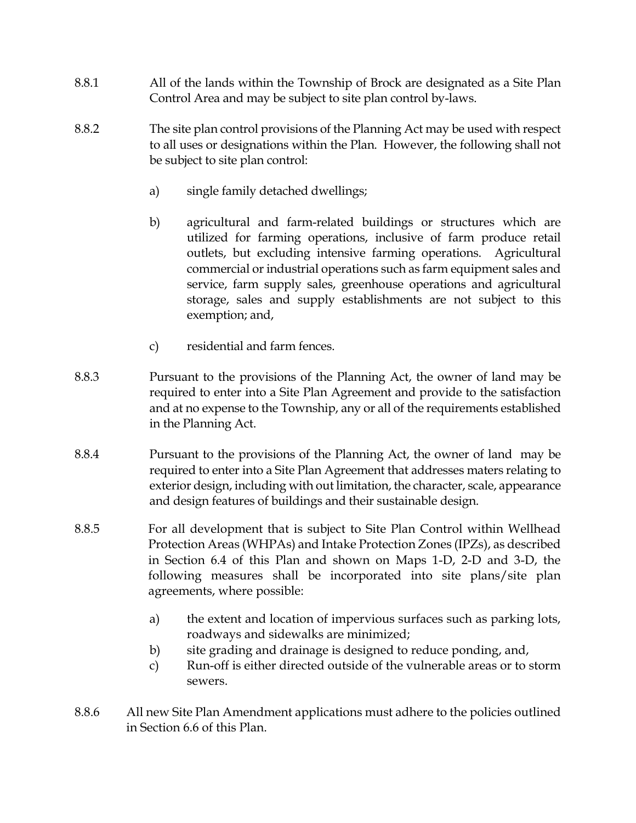- 8.8.1 All of the lands within the Township of Brock are designated as a Site Plan Control Area and may be subject to site plan control by-laws.
- 8.8.2 The site plan control provisions of the Planning Act may be used with respect to all uses or designations within the Plan. However, the following shall not be subject to site plan control:
	- a) single family detached dwellings;
	- b) agricultural and farm-related buildings or structures which are utilized for farming operations, inclusive of farm produce retail outlets, but excluding intensive farming operations. Agricultural commercial or industrial operations such as farm equipment sales and service, farm supply sales, greenhouse operations and agricultural storage, sales and supply establishments are not subject to this exemption; and,
	- c) residential and farm fences.
- 8.8.3 Pursuant to the provisions of the Planning Act, the owner of land may be required to enter into a Site Plan Agreement and provide to the satisfaction and at no expense to the Township, any or all of the requirements established in the Planning Act.
- 8.8.4 Pursuant to the provisions of the Planning Act, the owner of land may be required to enter into a Site Plan Agreement that addresses maters relating to exterior design, including with out limitation, the character, scale, appearance and design features of buildings and their sustainable design.
- 8.8.5 For all development that is subject to Site Plan Control within Wellhead Protection Areas (WHPAs) and Intake Protection Zones (IPZs), as described in Section 6.4 of this Plan and shown on Maps 1-D, 2-D and 3-D, the following measures shall be incorporated into site plans/site plan agreements, where possible:
	- a) the extent and location of impervious surfaces such as parking lots, roadways and sidewalks are minimized;
	- b) site grading and drainage is designed to reduce ponding, and,
	- c) Run-off is either directed outside of the vulnerable areas or to storm sewers.
- 8.8.6 All new Site Plan Amendment applications must adhere to the policies outlined in Section 6.6 of this Plan.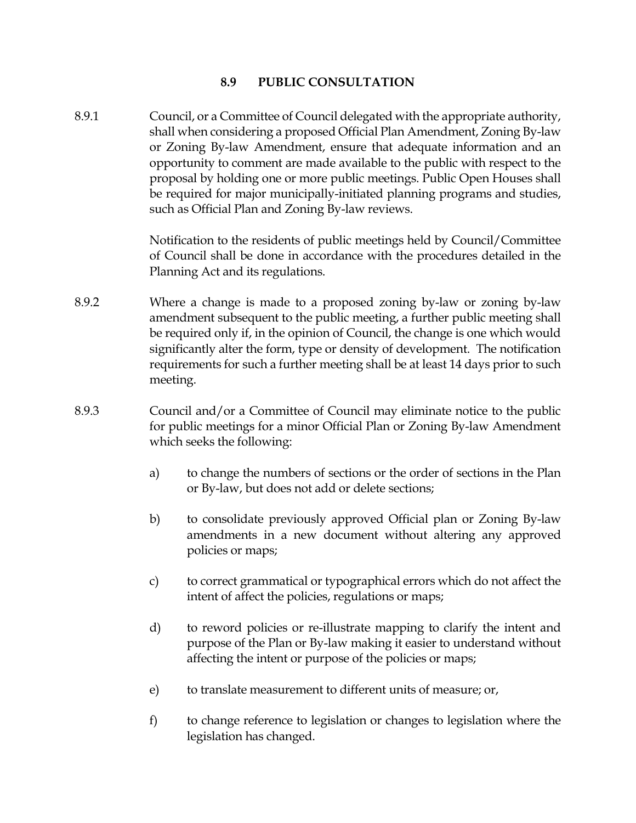### **8.9 PUBLIC CONSULTATION**

8.9.1 Council, or a Committee of Council delegated with the appropriate authority, shall when considering a proposed Official Plan Amendment, Zoning By-law or Zoning By-law Amendment, ensure that adequate information and an opportunity to comment are made available to the public with respect to the proposal by holding one or more public meetings. Public Open Houses shall be required for major municipally-initiated planning programs and studies, such as Official Plan and Zoning By-law reviews.

> Notification to the residents of public meetings held by Council/Committee of Council shall be done in accordance with the procedures detailed in the Planning Act and its regulations.

- 8.9.2 Where a change is made to a proposed zoning by-law or zoning by-law amendment subsequent to the public meeting, a further public meeting shall be required only if, in the opinion of Council, the change is one which would significantly alter the form, type or density of development. The notification requirements for such a further meeting shall be at least 14 days prior to such meeting.
- 8.9.3 Council and/or a Committee of Council may eliminate notice to the public for public meetings for a minor Official Plan or Zoning By-law Amendment which seeks the following:
	- a) to change the numbers of sections or the order of sections in the Plan or By-law, but does not add or delete sections;
	- b) to consolidate previously approved Official plan or Zoning By-law amendments in a new document without altering any approved policies or maps;
	- c) to correct grammatical or typographical errors which do not affect the intent of affect the policies, regulations or maps;
	- d) to reword policies or re-illustrate mapping to clarify the intent and purpose of the Plan or By-law making it easier to understand without affecting the intent or purpose of the policies or maps;
	- e) to translate measurement to different units of measure; or,
	- f) to change reference to legislation or changes to legislation where the legislation has changed.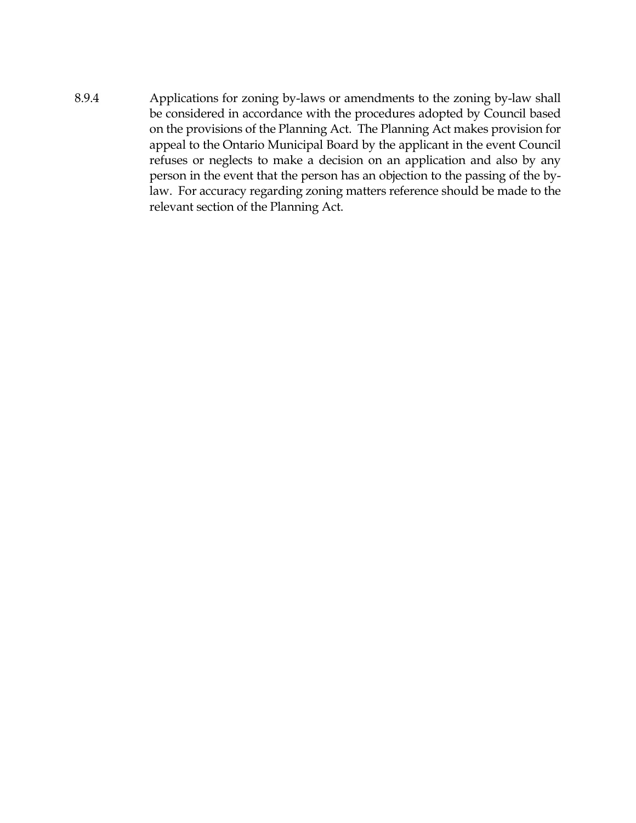8.9.4 Applications for zoning by-laws or amendments to the zoning by-law shall be considered in accordance with the procedures adopted by Council based on the provisions of the Planning Act. The Planning Act makes provision for appeal to the Ontario Municipal Board by the applicant in the event Council refuses or neglects to make a decision on an application and also by any person in the event that the person has an objection to the passing of the bylaw. For accuracy regarding zoning matters reference should be made to the relevant section of the Planning Act.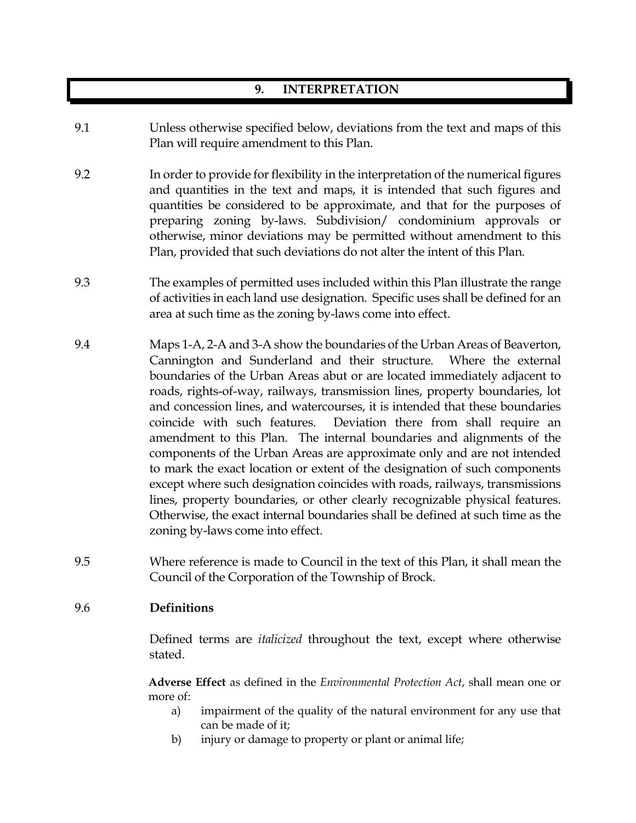# **9. INTERPRETATION**

- 9.1 Unless otherwise specified below, deviations from the text and maps of this Plan will require amendment to this Plan.
- 9.2 In order to provide for flexibility in the interpretation of the numerical figures and quantities in the text and maps, it is intended that such figures and quantities be considered to be approximate, and that for the purposes of preparing zoning by-laws. Subdivision/ condominium approvals or otherwise, minor deviations may be permitted without amendment to this Plan, provided that such deviations do not alter the intent of this Plan.
- 9.3 The examples of permitted uses included within this Plan illustrate the range of activities in each land use designation. Specific uses shall be defined for an area at such time as the zoning by-laws come into effect.
- 9.4 Maps 1-A, 2-A and 3-A show the boundaries of the Urban Areas of Beaverton, Cannington and Sunderland and their structure. Where the external boundaries of the Urban Areas abut or are located immediately adjacent to roads, rights-of-way, railways, transmission lines, property boundaries, lot and concession lines, and watercourses, it is intended that these boundaries coincide with such features. Deviation there from shall require an amendment to this Plan. The internal boundaries and alignments of the components of the Urban Areas are approximate only and are not intended to mark the exact location or extent of the designation of such components except where such designation coincides with roads, railways, transmissions lines, property boundaries, or other clearly recognizable physical features. Otherwise, the exact internal boundaries shall be defined at such time as the zoning by-laws come into effect.
- 9.5 Where reference is made to Council in the text of this Plan, it shall mean the Council of the Corporation of the Township of Brock.

#### 9.6 **Definitions**

Defined terms are *italicized* throughout the text, except where otherwise stated.

**Adverse Effect** as defined in the *Environmental Protection Act*, shall mean one or more of:

- a) impairment of the quality of the natural environment for any use that can be made of it;
- b) injury or damage to property or plant or animal life;